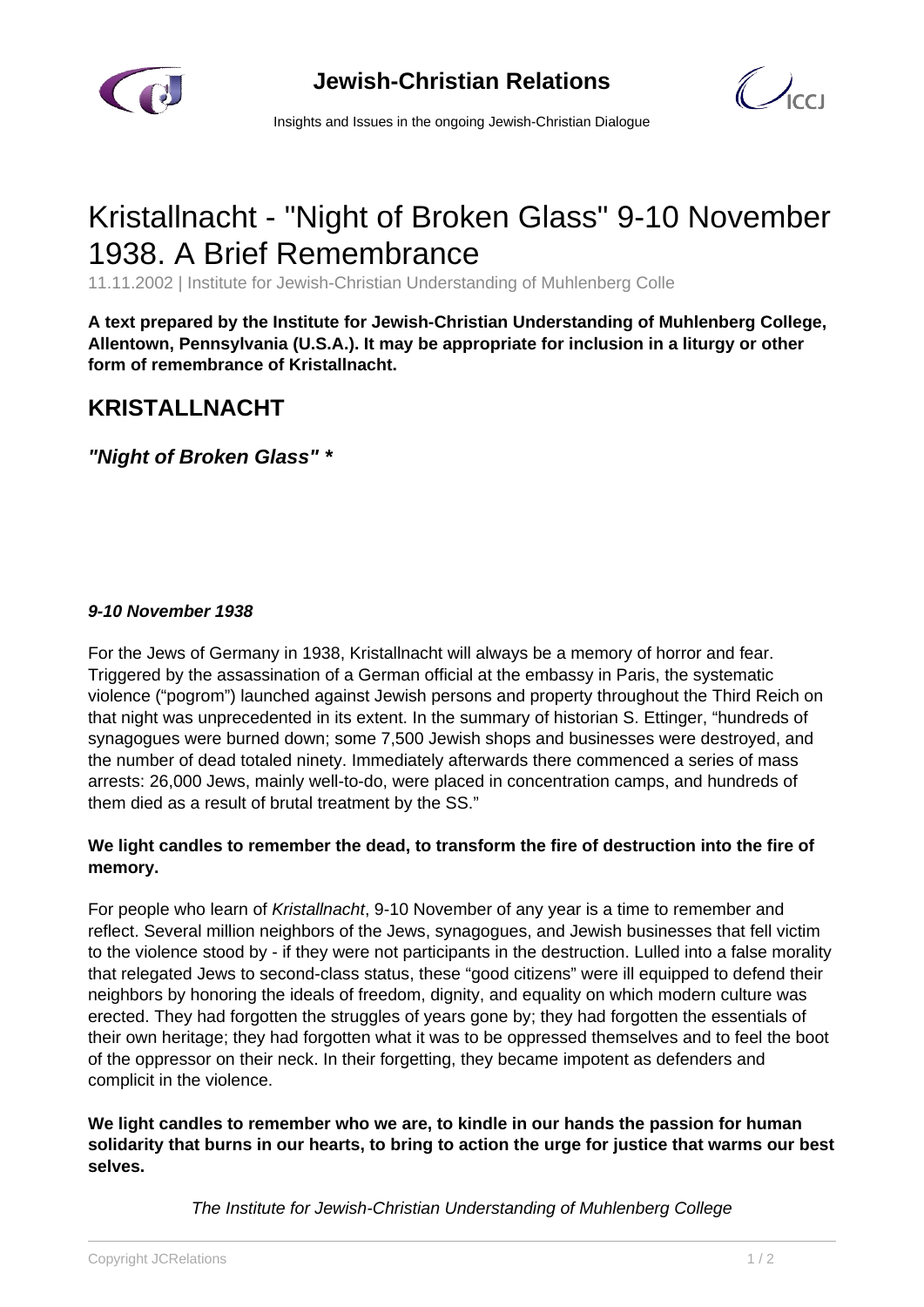



Insights and Issues in the ongoing Jewish-Christian Dialogue

## Kristallnacht - "Night of Broken Glass" 9-10 November 1938. A Brief Remembrance

11.11.2002 | Institute for Jewish-Christian Understanding of Muhlenberg Colle

**A text prepared by the Institute for Jewish-Christian Understanding of Muhlenberg College, Allentown, Pennsylvania (U.S.A.). It may be appropriate for inclusion in a liturgy or other form of remembrance of Kristallnacht.**

## **KRISTALLNACHT**

**"Night of Broken Glass" \***

## **9-10 November 1938**

For the Jews of Germany in 1938, Kristallnacht will always be a memory of horror and fear. Triggered by the assassination of a German official at the embassy in Paris, the systematic violence ("pogrom") launched against Jewish persons and property throughout the Third Reich on that night was unprecedented in its extent. In the summary of historian S. Ettinger, "hundreds of synagogues were burned down; some 7,500 Jewish shops and businesses were destroyed, and the number of dead totaled ninety. Immediately afterwards there commenced a series of mass arrests: 26,000 Jews, mainly well-to-do, were placed in concentration camps, and hundreds of them died as a result of brutal treatment by the SS."

## **We light candles to remember the dead, to transform the fire of destruction into the fire of memory.**

For people who learn of Kristallnacht, 9-10 November of any year is a time to remember and reflect. Several million neighbors of the Jews, synagogues, and Jewish businesses that fell victim to the violence stood by - if they were not participants in the destruction. Lulled into a false morality that relegated Jews to second-class status, these "good citizens" were ill equipped to defend their neighbors by honoring the ideals of freedom, dignity, and equality on which modern culture was erected. They had forgotten the struggles of years gone by; they had forgotten the essentials of their own heritage; they had forgotten what it was to be oppressed themselves and to feel the boot of the oppressor on their neck. In their forgetting, they became impotent as defenders and complicit in the violence.

**We light candles to remember who we are, to kindle in our hands the passion for human solidarity that burns in our hearts, to bring to action the urge for justice that warms our best selves.**

The Institute for Jewish-Christian Understanding of Muhlenberg College